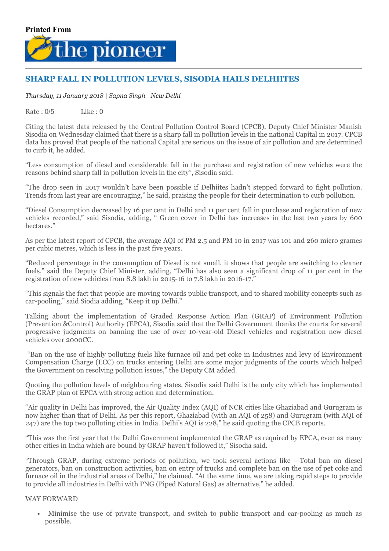

## SHARP FALL IN POLLUTION LEVELS, SISODIA HAILS DELHIITES

*Thursday, 11 January 2018 | Sapna Singh | New Delhi*

Rate : 0/5 Like : 0

Citing the latest data released by the Central Pollution Control Board (CPCB), Deputy Chief Minister Manish Sisodia on Wednesday claimed that there is a sharp fall in pollution levels in the national Capital in 2017. CPCB data has proved that people of the national Capital are serious on the issue of air pollution and are determined to curb it, he added.

"Less consumption of diesel and considerable fall in the purchase and registration of new vehicles were the reasons behind sharp fall in pollution levels in the city", Sisodia said.

"The drop seen in 2017 wouldn't have been possible if Delhiites hadn't stepped forward to fight pollution. Trends from last year are encouraging," he said, praising the people for their determination to curb pollution.

"Diesel Consumption decreased by 16 per cent in Delhi and 11 per cent fall in purchase and registration of new vehicles recorded," said Sisodia, adding, " Green cover in Delhi has increases in the last two years by 600 hectares."

As per the latest report of CPCB, the average AQI of PM 2.5 and PM 10 in 2017 was 101 and 260 micro grames per cubic metres, which is less in the past five years.

"Reduced percentage in the consumption of Diesel is not small, it shows that people are switching to cleaner fuels," said the Deputy Chief Minister, adding, "Delhi has also seen a significant drop of 11 per cent in the registration of new vehicles from 8.8 lakh in 2015-16 to 7.8 lakh in 2016-17."

"This signals the fact that people are moving towards public transport, and to shared mobility concepts such as car-pooling," said Siodia adding, "Keep it up Delhi."

Talking about the implementation of Graded Response Action Plan (GRAP) of Environment Pollution (Prevention &Control) Authority (EPCA), Sisodia said that the Delhi Government thanks the courts for several progressive judgments on banning the use of over 10-year-old Diesel vehicles and registration new diesel vehicles over 2000CC.

"Ban on the use of highly polluting fuels like furnace oil and pet coke in Industries and levy of Environment Compensation Charge (ECC) on trucks entering Delhi are some major judgments of the courts which helped the Government on resolving pollution issues," the Deputy CM added.

Quoting the pollution levels of neighbouring states, Sisodia said Delhi is the only city which has implemented the GRAP plan of EPCA with strong action and determination.

"Air quality in Delhi has improved, the Air Quality Index (AQI) of NCR cities like Ghaziabad and Gurugram is now higher than that of Delhi. As per this report, Ghaziabad (with an AQI of 258) and Gurugram (with AQI of 247) are the top two polluting cities in India. Delhi's AQI is 228," he said quoting the CPCB reports.

"This was the first year that the Delhi Government implemented the GRAP as required by EPCA, even as many other cities in India which are bound by GRAP haven't followed it," Sisodia said.

"Through GRAP, during extreme periods of pollution, we took several actions like —Total ban on diesel generators, ban on construction activities, ban on entry of trucks and complete ban on the use of pet coke and furnace oil in the industrial areas of Delhi," he claimed. "At the same time, we are taking rapid steps to provide to provide all industries in Delhi with PNG (Piped Natural Gas) as alternative," he added.

## WAY FORWARD

Minimise the use of private transport, and switch to public transport and car-pooling as much as possible.